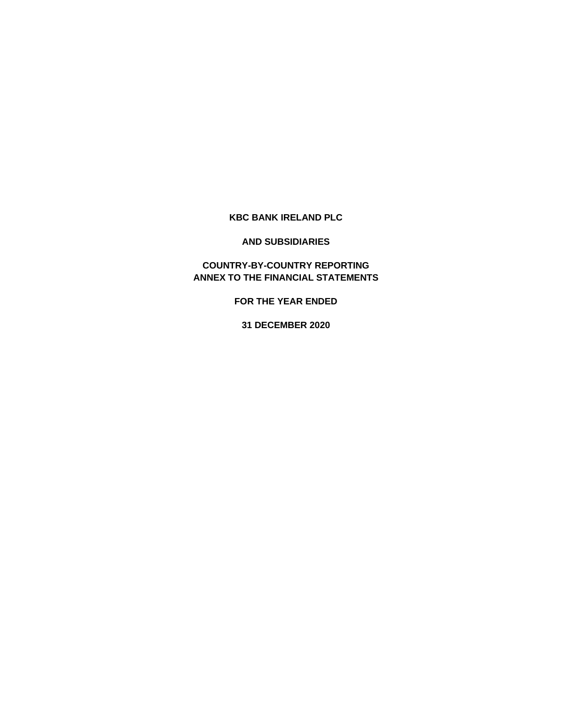## **KBC BANK IRELAND PLC**

### **AND SUBSIDIARIES**

# **COUNTRY-BY-COUNTRY REPORTING ANNEX TO THE FINANCIAL STATEMENTS**

**FOR THE YEAR ENDED**

**31 DECEMBER 2020**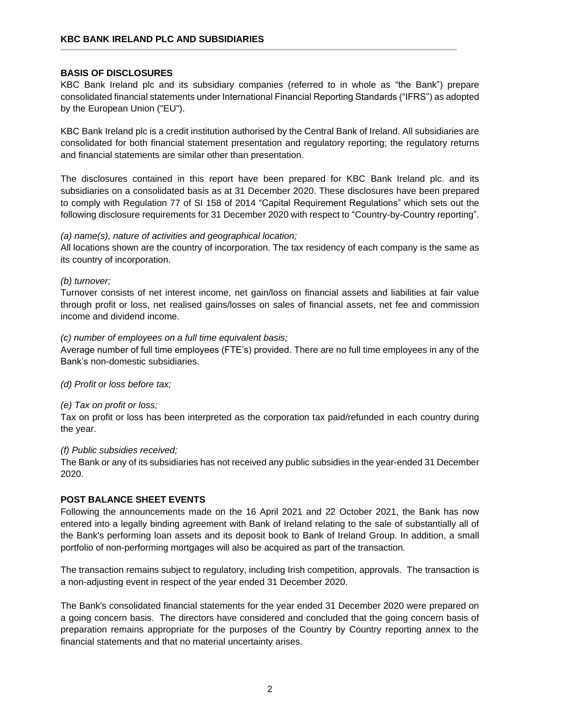### **BASIS OF DISCLOSURES**

KBC Bank Ireland plc and its subsidiary companies (referred to in whole as "the Bank") prepare consolidated financial statements under International Financial Reporting Standards ("IFRS") as adopted by the European Union ("EU").

KBC Bank Ireland plc is a credit institution authorised by the Central Bank of Ireland. All subsidiaries are consolidated for both financial statement presentation and regulatory reporting; the regulatory returns and financial statements are similar other than presentation.

The disclosures contained in this report have been prepared for KBC Bank Ireland plc. and its subsidiaries on a consolidated basis as at 31 December 2020. These disclosures have been prepared to comply with Regulation 77 of SI 158 of 2014 "Capital Requirement Regulations" which sets out the following disclosure requirements for 31 December 2020 with respect to "Country-by-Country reporting".

### *(a) name(s), nature of activities and geographical location;*

All locations shown are the country of incorporation. The tax residency of each company is the same as its country of incorporation.

### *(b) turnover;*

Turnover consists of net interest income, net gain/loss on financial assets and liabilities at fair value through profit or loss, net realised gains/losses on sales of financial assets, net fee and commission income and dividend income.

### *(c) number of employees on a full time equivalent basis;*

Average number of full time employees (FTE's) provided. There are no full time employees in any of the Bank's non-domestic subsidiaries.

*(d) Profit or loss before tax;*

### *(e) Tax on profit or loss;*

Tax on profit or loss has been interpreted as the corporation tax paid/refunded in each country during the year.

### *(f) Public subsidies received;*

The Bank or any of its subsidiaries has not received any public subsidies in the year-ended 31 December 2020.

### **POST BALANCE SHEET EVENTS**

Following the announcements made on the 16 April 2021 and 22 October 2021, the Bank has now entered into a legally binding agreement with Bank of Ireland relating to the sale of substantially all of the Bank's performing loan assets and its deposit book to Bank of Ireland Group. In addition, a small portfolio of non-performing mortgages will also be acquired as part of the transaction.

The transaction remains subject to regulatory, including Irish competition, approvals. The transaction is a non-adjusting event in respect of the year ended 31 December 2020.

The Bank's consolidated financial statements for the year ended 31 December 2020 were prepared on a going concern basis. The directors have considered and concluded that the going concern basis of preparation remains appropriate for the purposes of the Country by Country reporting annex to the financial statements and that no material uncertainty arises.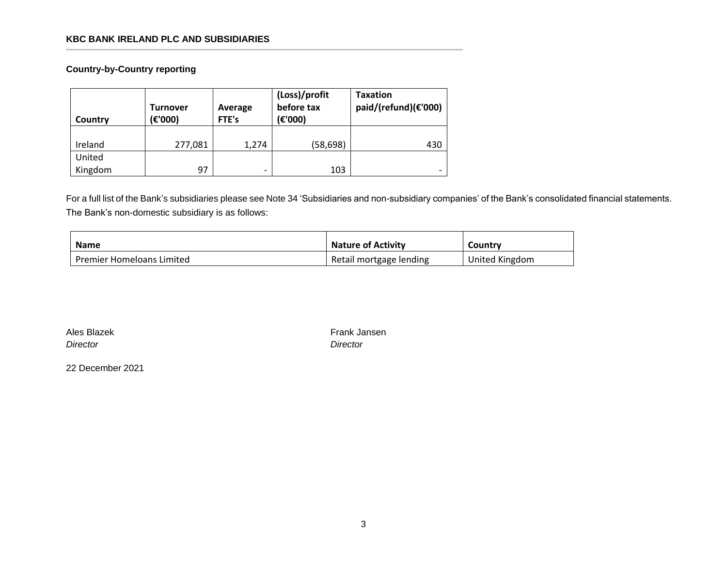# **KBC BANK IRELAND PLC AND SUBSIDIARIES**

**Country-by-Country reporting**

| Country | <b>Turnover</b><br>(€'000) | Average<br>FTE's | (Loss)/profit<br>before tax<br>(€'000) | <b>Taxation</b><br>paid/(refund)(€'000) |
|---------|----------------------------|------------------|----------------------------------------|-----------------------------------------|
| Ireland | 277,081                    | 1.274            | (58,698)                               | 430                                     |
| United  |                            |                  |                                        |                                         |
| Kingdom | 97                         | -                | 103                                    | $\overline{\phantom{0}}$                |

For a full list of the Bank's subsidiaries please see Note 34 'Subsidiaries and non-subsidiary companies' of the Bank's consolidated financial statements. The Bank's non-domestic subsidiary is as follows:

| <b>Name</b>                      | <b>Nature of Activity</b> | Country        |
|----------------------------------|---------------------------|----------------|
| <b>Premier Homeloans Limited</b> | Retail mortgage lending   | United Kingdom |

|          | Ales Blazek |  |  |
|----------|-------------|--|--|
| Director |             |  |  |

Frank Jansen *Director Director*

22 December 2021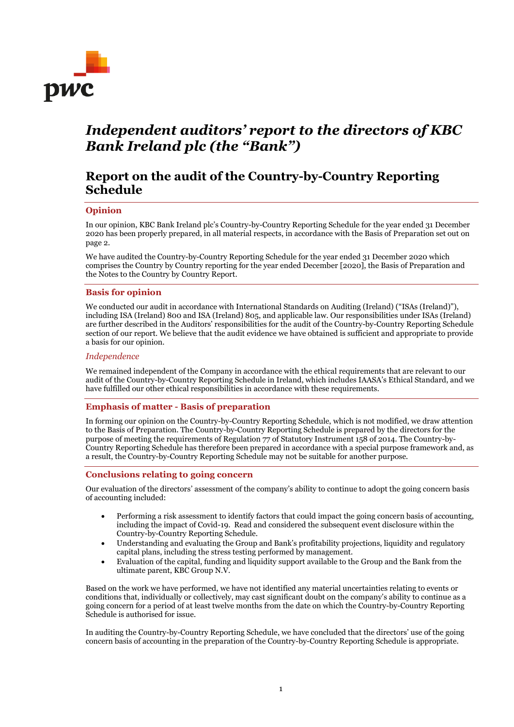

# *Independent auditors' report to the directors of KBC Bank Ireland plc (the "Bank")*

# **Report on the audit of the Country-by-Country Reporting Schedule**

### **Opinion**

In our opinion, KBC Bank Ireland plc's Country-by-Country Reporting Schedule for the year ended 31 December 2020 has been properly prepared, in all material respects, in accordance with the Basis of Preparation set out on page 2.

We have audited the Country-by-Country Reporting Schedule for the year ended 31 December 2020 which comprises the Country by Country reporting for the year ended December [2020], the Basis of Preparation and the Notes to the Country by Country Report.

### **Basis for opinion**

We conducted our audit in accordance with International Standards on Auditing (Ireland) ("ISAs (Ireland)"), including ISA (Ireland) 800 and ISA (Ireland) 805, and applicable law. Our responsibilities under ISAs (Ireland) are further described in the Auditors' responsibilities for the audit of the Country-by-Country Reporting Schedule section of our report. We believe that the audit evidence we have obtained is sufficient and appropriate to provide a basis for our opinion.

### *Independence*

We remained independent of the Company in accordance with the ethical requirements that are relevant to our audit of the Country-by-Country Reporting Schedule in Ireland, which includes IAASA's Ethical Standard, and we have fulfilled our other ethical responsibilities in accordance with these requirements.

### **Emphasis of matter - Basis of preparation**

In forming our opinion on the Country-by-Country Reporting Schedule, which is not modified, we draw attention to the Basis of Preparation. The Country-by-Country Reporting Schedule is prepared by the directors for the purpose of meeting the requirements of Regulation 77 of Statutory Instrument 158 of 2014. The Country-by-Country Reporting Schedule has therefore been prepared in accordance with a special purpose framework and, as a result, the Country-by-Country Reporting Schedule may not be suitable for another purpose.

### **Conclusions relating to going concern**

Our evaluation of the directors' assessment of the company's ability to continue to adopt the going concern basis of accounting included:

- Performing a risk assessment to identify factors that could impact the going concern basis of accounting, including the impact of Covid-19. Read and considered the subsequent event disclosure within the Country-by-Country Reporting Schedule.
- Understanding and evaluating the Group and Bank's profitability projections, liquidity and regulatory capital plans, including the stress testing performed by management.
- Evaluation of the capital, funding and liquidity support available to the Group and the Bank from the ultimate parent, KBC Group N.V.

Based on the work we have performed, we have not identified any material uncertainties relating to events or conditions that, individually or collectively, may cast significant doubt on the company's ability to continue as a going concern for a period of at least twelve months from the date on which the Country-by-Country Reporting Schedule is authorised for issue.

In auditing the Country-by-Country Reporting Schedule, we have concluded that the directors' use of the going concern basis of accounting in the preparation of the Country-by-Country Reporting Schedule is appropriate.